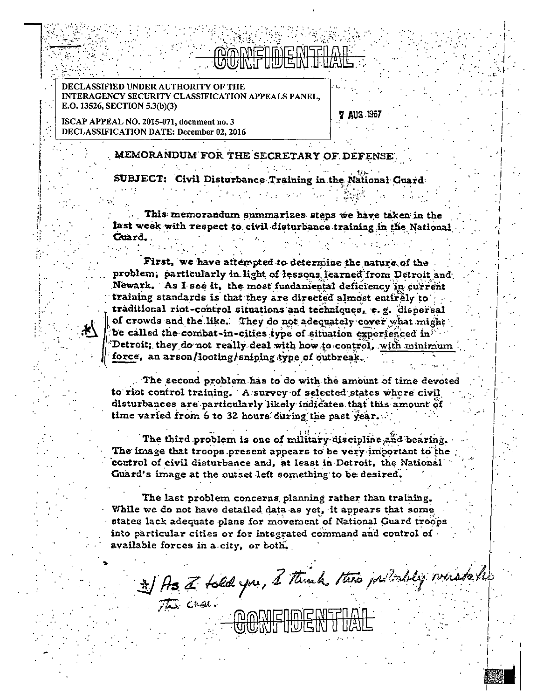# mania di Sidonia.<br>Ny faritr'ora dia GMT+1.

**7 AUG 1367** 

DECLASSIFIED UNDER AUTHORITY OF THE **INTERAGENCY SECURITY CLASSIFICATION APPEALS PANEL.** E.O. 13526, SECTION 5.3(b)(3)

ISCAP APPEAL NO. 2015-071, document no. 3 DECLASSIFICATION DATE: December 02, 2016

### MEMORANDUM FOR THE SECRETARY OF DEFENSE

SUBJECT: Civil Disturbance Training in the National Guard

This memorandum summarizes steps we have taken in the last week with respect to civil disturbance training in the National Guard.

First, we have attempted to determine the nature of the problem; particularly in light of lessons learned from Detroit and Newark. As I see it, the most fundamental deficiency in current training standards is that they are directed almost entirely to traditional riot-control situations and techniques, e.g. dispersal of crowds and the like. They do not adequately cover what might be called the combat-in-cities type of situation experienced in Detroit; they do not really deal with how to control, with minimum force, an arson/looting/sniping type of outbreak.

The second problem has to do with the amount of time devoted to riot control training. A survey of selected states where civil disturbances are particularly likely indicates that this amount of time varied from 6 to 32 hours during the past year.

The third problem is one of military discipline and bearing. The image that troops present appears to be very important to the control of civil disturbance and, at least in Detroit, the National Guard's image at the outset left something to be desired.

The last problem concerns planning rather than training. While we do not have detailed data as yet, it appears that some states lack adequate plans for movement of National Guard troops into particular cities or for integrated command and control of available forces in a city, or both,

\* ) As a told you, I think there indicately were to be

CONFIDENTI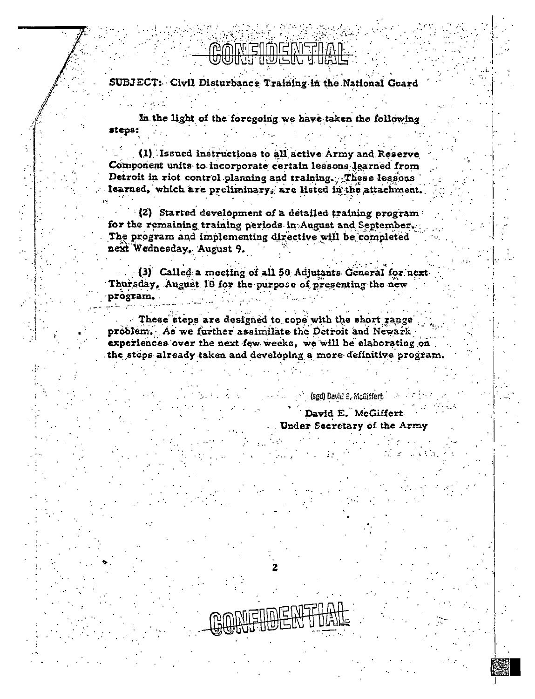## **CONFIDENTIAL**

SUBJECT: Civil Disturbance Training in the National Guard

In the light of the foregoing we have taken the following steps:

(1) Issued instructions to all active Army and Reserve Component units to incorporate certain lessons learned from Detroit in riot control planning and training. These lessons learned, which are preliminary, are listed in the attachment.

(2) Started development of a detailed training program for the remaining training periods in August and September. The program and implementing directive will be completed next Wednesday, August 9.

(3) Called a meeting of all 50 Adjutants General for next. Thursday, August 10 for the purpose of presenting the new program.

These steps are designed to cope with the short range problem. As we further assimilate the Detroit and Newark experiences over the next few weeks, we will be elaborating on the steps already taken and developing a more definitive program.

> David E. McGiffert. Under Secretary of the Army

(sgd) David E. McGiffert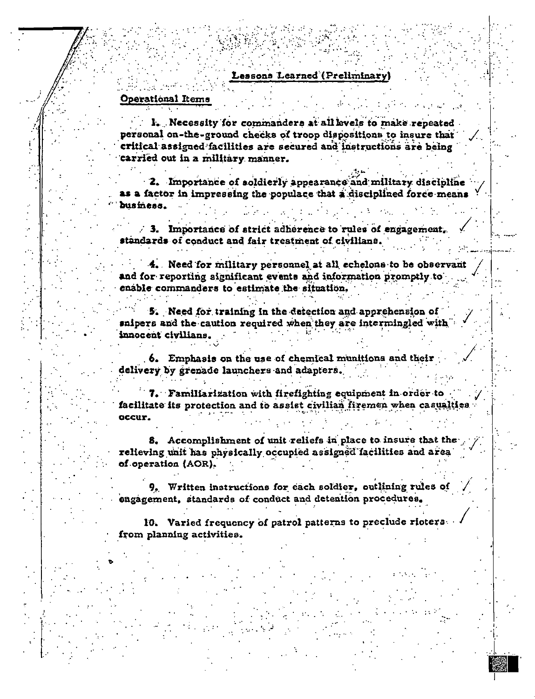#### **Operational Items**

I. Necessity for commanders at all levels to make repeated personal on-the-ground checks of troop dispositions to insure that critical assigned facilities are secured and instructions are being carried out in a military manner.

2. Importance of soldierly appearance and military discipline as a factor in impressing the populace that a disciplined force means business.

 $\sim$  3. Importance of strict adherence to rules of engagement. standards of conduct and fair treatment of civilians.

4. Need for military personnel at all echelons to be observant and for reporting significant events and information promptly to enable commanders to estimate the situation.

5. Need for training in the detection and apprehension of snipers and the caution required when they are intermingled with innocent civilians.

6. Emphasis on the use of chemical munitions and their delivery by grenade launchers and adapters.

7. Familiarization with firefighting equipment in order to facilitate its protection and to assist civilian firemen when casualties occur.

8. Accomplishment of unit reliefs in place to insure that the relieving unit has physically occupied assigned facilities and area of operation (AOR).

9. Written instructions for each soldier, outlining rules of engagement, standards of conduct and detention procedures.

10. Varied frequency of patrol patterns to preclude rioterafrom planning activities.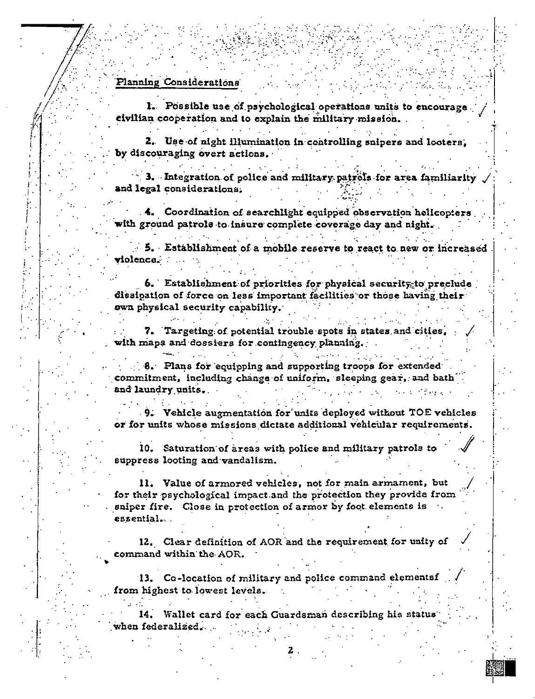### Planning Considerations

1. Possible use of psychological operations units to encourage. civilian cooperation and to explain the military mission.

2. Use of night illumination in controlling snipers and looters. by discouraging overt actions.

3. Integration of police and military patrols for area familiarity and legal considerations.

4. Coordination of searchlight equipped observation helicopters with ground patrols to insure complete coverage day and night.

5. Establishment of a mobile reserve to react to new or increased violence.

6. Establishment of priorities for physical security to preclude dissipation of force on less important facilities or those having their own physical security capability.

7. Targeting of potential trouble spots in states and cities, with maps and dossiers for contingency planning.

 $\therefore$  8. Plans for equipping and supporting troops for extended. commitment, including change of uniform, sleeping gear, and bath and laundry units.

9. Vehicle augmentation for units deployed without TOE vehicles or for units whose missions dictate additional vehicular requirements.

10. Saturation of areas with police and military patrols to suppress looting and vandalism.

11. Value of armored vehicles, not for main armament, but for their psychological impact and the protection they provide from sniper fire. Close in protection of armor by foot elements is essential...

12. Clear definition of AOR and the requirement for unity of command within the AOR.

13. Co-location of military and police command elementsf from highest to lowest levels.

Wallet card for each Guardsman describing his status when federalized.